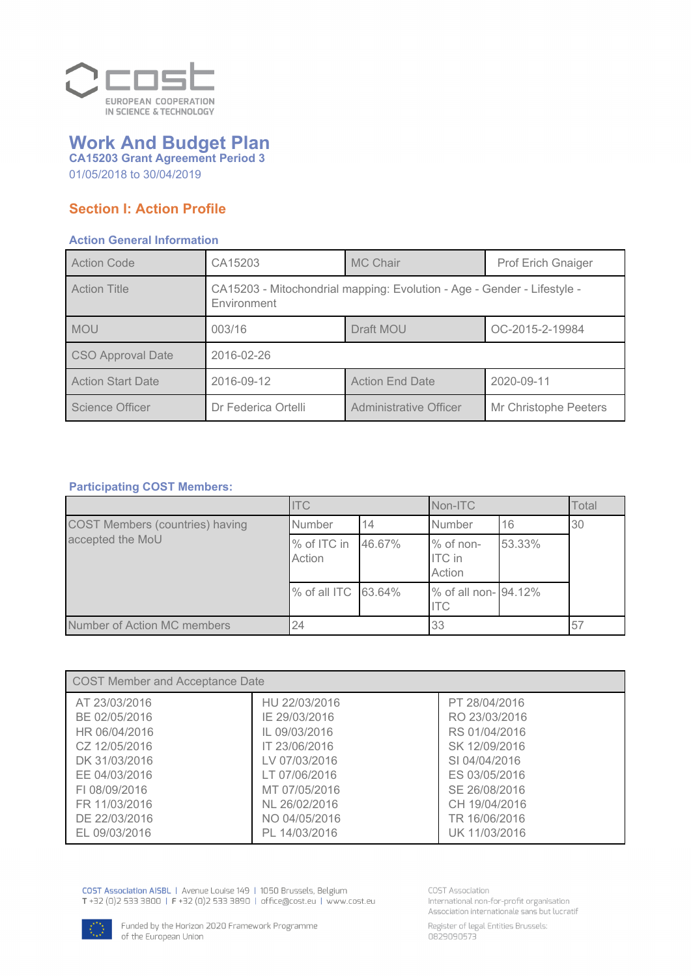

## *Work And Budget Plan CA15203 Grant Agreement Period 3*

*01/05/2018 to 30/04/2019*

### *Section I: Action Profile*

### *Action General Information*

| <b>Action Code</b>       | CA15203                                                                                | <b>MC Chair</b>        | <b>Prof Erich Gnaiger</b> |
|--------------------------|----------------------------------------------------------------------------------------|------------------------|---------------------------|
| <b>Action Title</b>      | CA15203 - Mitochondrial mapping: Evolution - Age - Gender - Lifestyle -<br>Environment |                        |                           |
| <b>MOU</b>               | 003/16                                                                                 | Draft MOU              | OC-2015-2-19984           |
| <b>CSO Approval Date</b> | 2016-02-26                                                                             |                        |                           |
| <b>Action Start Date</b> | 2016-09-12                                                                             | <b>Action End Date</b> | 2020-09-11                |
| Science Officer          | Dr Federica Ortelli                                                                    | Administrative Officer | Mr Christophe Peeters     |

### *Participating COST Members:*

|                                        | <b>ITC</b>            |        | Non-ITC                                |        | Total |
|----------------------------------------|-----------------------|--------|----------------------------------------|--------|-------|
| <b>COST Members (countries) having</b> | Number                | 14     | Number                                 | 16     | 30    |
| accepted the MoU                       | % of ITC in<br>Action | 46.67% | $%$ of non-<br><b>ITC</b> in<br>Action | 53.33% |       |
|                                        | % of all ITC 63.64%   |        | % of all non- 94.12%<br><b>ITC</b>     |        |       |
| Number of Action MC members            | 24                    |        | 33                                     |        | 57    |

| COST Member and Acceptance Date |               |               |  |
|---------------------------------|---------------|---------------|--|
| AT 23/03/2016                   | HU 22/03/2016 | PT 28/04/2016 |  |
| BE 02/05/2016                   | IE 29/03/2016 | RO 23/03/2016 |  |
| HR 06/04/2016                   | IL 09/03/2016 | RS 01/04/2016 |  |
| CZ 12/05/2016                   | IT 23/06/2016 | SK 12/09/2016 |  |
| DK 31/03/2016                   | LV 07/03/2016 | SI 04/04/2016 |  |
| EE 04/03/2016                   | LT 07/06/2016 | ES 03/05/2016 |  |
| FL08/09/2016                    | MT 07/05/2016 | SE 26/08/2016 |  |
| FR 11/03/2016                   | NL 26/02/2016 | CH 19/04/2016 |  |
| DE 22/03/2016                   | NO 04/05/2016 | TR 16/06/2016 |  |
| EL 09/03/2016                   | PL 14/03/2016 | UK 11/03/2016 |  |

COST Association AISBL | Avenue Louise 149 | 1050 Brussels, Belgium<br>T +32 (0)2 533 3800 | F +32 (0)2 533 3890 | office@cost.eu | www.cost.eu

**COST Association** International non-for-profit organisation Association internationale sans but lucratif



Register of legal Entities Brussels:<br>0829090573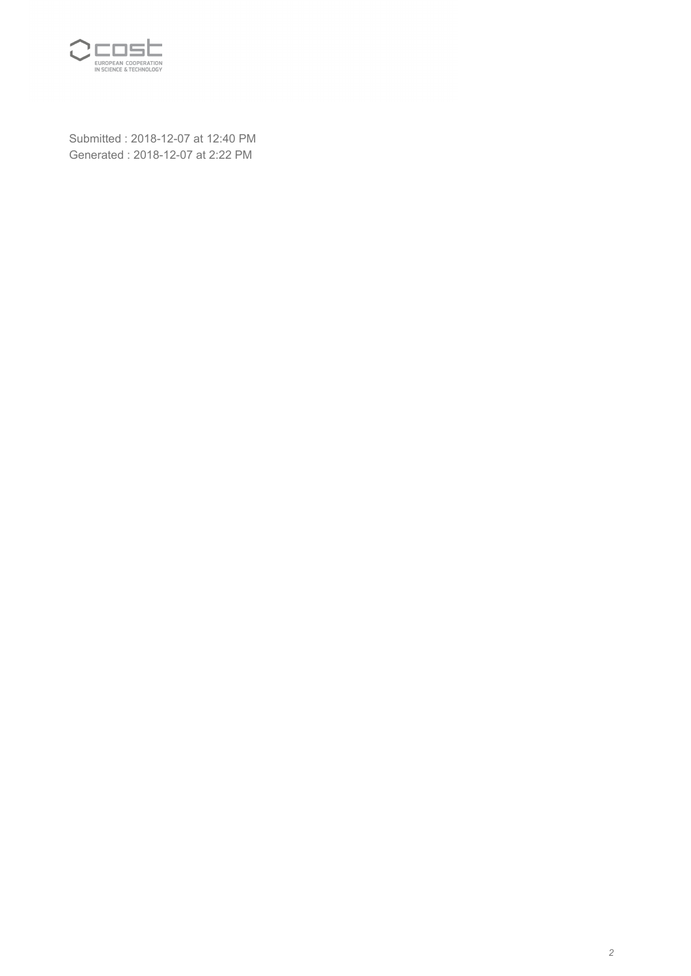

*Submitted : 2018-12-07 at 12:40 PM Generated : 2018-12-07 at 2:22 PM*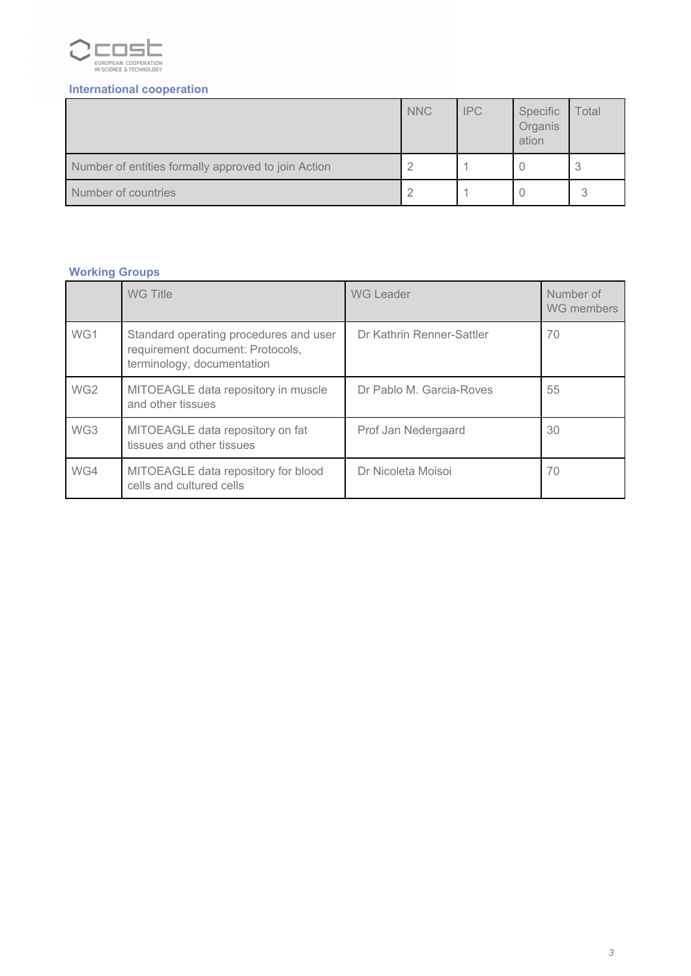

### *International cooperation*

|                                                     | <b>NNC</b> | <b>IPC</b> | Specific<br>Organis<br>ation | Total |
|-----------------------------------------------------|------------|------------|------------------------------|-------|
| Number of entities formally approved to join Action |            |            |                              | 3     |
| Number of countries                                 |            |            |                              |       |

### *Working Groups*

|                 | <b>WG Title</b>                                                                                          | <b>WG Leader</b>          | Number of<br>WG members |
|-----------------|----------------------------------------------------------------------------------------------------------|---------------------------|-------------------------|
| WG1             | Standard operating procedures and user<br>requirement document: Protocols,<br>terminology, documentation | Dr Kathrin Renner-Sattler | 70                      |
| WG <sub>2</sub> | MITOEAGLE data repository in muscle<br>and other tissues                                                 | Dr Pablo M. Garcia-Roves  | 55                      |
| WG3             | MITOEAGLE data repository on fat<br>tissues and other tissues                                            | Prof Jan Nedergaard       | 30                      |
| WG4             | MITOEAGLE data repository for blood<br>cells and cultured cells                                          | Dr Nicoleta Moisoi        | 70                      |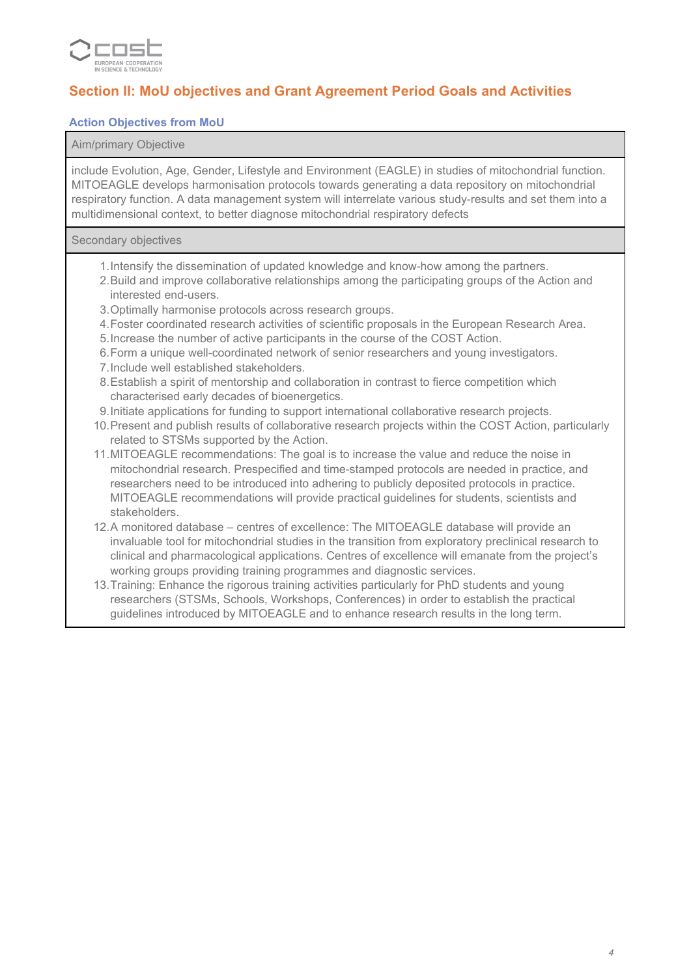

### *Section II: MoU objectives and Grant Agreement Period Goals and Activities*

### *Action Objectives from MoU*

#### *Aim/primary Objective*

*include Evolution, Age, Gender, Lifestyle and Environment (EAGLE) in studies of mitochondrial function. MITOEAGLE develops harmonisation protocols towards generating a data repository on mitochondrial respiratory function. A data management system will interrelate various study-results and set them into a multidimensional context, to better diagnose mitochondrial respiratory defects*

#### *Secondary objectives*

- *1.Intensify the dissemination of updated knowledge and know-how among the partners.*
- *2.Build and improve collaborative relationships among the participating groups of the Action and interested end-users.*
- *3.Optimally harmonise protocols across research groups.*
- *4.Foster coordinated research activities of scientific proposals in the European Research Area.*
- *5.Increase the number of active participants in the course of the COST Action.*
- *6.Form a unique well-coordinated network of senior researchers and young investigators.*
- *7.Include well established stakeholders.*
- *8.Establish a spirit of mentorship and collaboration in contrast to fierce competition which characterised early decades of bioenergetics.*
- *9.Initiate applications for funding to support international collaborative research projects.*
- *10.Present and publish results of collaborative research projects within the COST Action, particularly related to STSMs supported by the Action.*
- *11.MITOEAGLE recommendations: The goal is to increase the value and reduce the noise in mitochondrial research. Prespecified and time-stamped protocols are needed in practice, and researchers need to be introduced into adhering to publicly deposited protocols in practice. MITOEAGLE recommendations will provide practical guidelines for students, scientists and stakeholders.*
- *12.A monitored database centres of excellence: The MITOEAGLE database will provide an invaluable tool for mitochondrial studies in the transition from exploratory preclinical research to clinical and pharmacological applications. Centres of excellence will emanate from the project's working groups providing training programmes and diagnostic services.*
- *13.Training: Enhance the rigorous training activities particularly for PhD students and young researchers (STSMs, Schools, Workshops, Conferences) in order to establish the practical guidelines introduced by MITOEAGLE and to enhance research results in the long term.*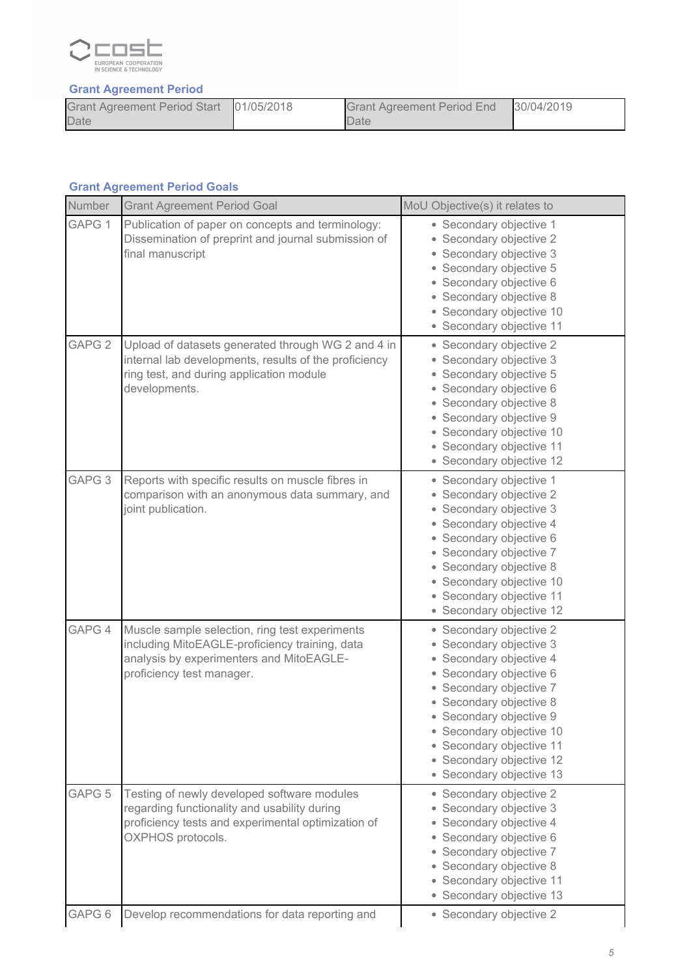

### *Grant Agreement Period*

| Grant Agreement Period Start 01/05/2018 | <b>Grant Agreement Period End</b> | 30/04/2019 |
|-----------------------------------------|-----------------------------------|------------|
| Date                                    | Date                              |            |

### *Grant Agreement Period Goals*

| Number            | <b>Grant Agreement Period Goal</b>                                                                                                                                        | MoU Objective(s) it relates to                                                                                                                                                                                                                                                                            |
|-------------------|---------------------------------------------------------------------------------------------------------------------------------------------------------------------------|-----------------------------------------------------------------------------------------------------------------------------------------------------------------------------------------------------------------------------------------------------------------------------------------------------------|
| GAPG 1            | Publication of paper on concepts and terminology:<br>Dissemination of preprint and journal submission of<br>final manuscript                                              | • Secondary objective 1<br>• Secondary objective 2<br>• Secondary objective 3<br>• Secondary objective 5<br>• Secondary objective 6<br>• Secondary objective 8<br>• Secondary objective 10<br>• Secondary objective 11                                                                                    |
| GAPG <sub>2</sub> | Upload of datasets generated through WG 2 and 4 in<br>internal lab developments, results of the proficiency<br>ring test, and during application module<br>developments.  | • Secondary objective 2<br>• Secondary objective 3<br>• Secondary objective 5<br>• Secondary objective 6<br>• Secondary objective 8<br>• Secondary objective 9<br>• Secondary objective 10<br>• Secondary objective 11<br>• Secondary objective 12                                                        |
| GAPG <sub>3</sub> | Reports with specific results on muscle fibres in<br>comparison with an anonymous data summary, and<br>joint publication.                                                 | • Secondary objective 1<br>• Secondary objective 2<br>• Secondary objective 3<br>• Secondary objective 4<br>• Secondary objective 6<br>• Secondary objective 7<br>• Secondary objective 8<br>• Secondary objective 10<br>· Secondary objective 11<br>• Secondary objective 12                             |
| GAPG 4            | Muscle sample selection, ring test experiments<br>including MitoEAGLE-proficiency training, data<br>analysis by experimenters and MitoEAGLE-<br>proficiency test manager. | • Secondary objective 2<br>• Secondary objective 3<br>• Secondary objective 4<br>• Secondary objective 6<br>• Secondary objective 7<br>• Secondary objective 8<br>• Secondary objective 9<br>• Secondary objective 10<br>• Secondary objective 11<br>• Secondary objective 12<br>• Secondary objective 13 |
| GAPG <sub>5</sub> | Testing of newly developed software modules<br>regarding functionality and usability during<br>proficiency tests and experimental optimization of<br>OXPHOS protocols.    | • Secondary objective 2<br>• Secondary objective 3<br>• Secondary objective 4<br>• Secondary objective 6<br>• Secondary objective 7<br>• Secondary objective 8<br>• Secondary objective 11<br>• Secondary objective 13                                                                                    |
| GAPG 6            | Develop recommendations for data reporting and                                                                                                                            | • Secondary objective 2                                                                                                                                                                                                                                                                                   |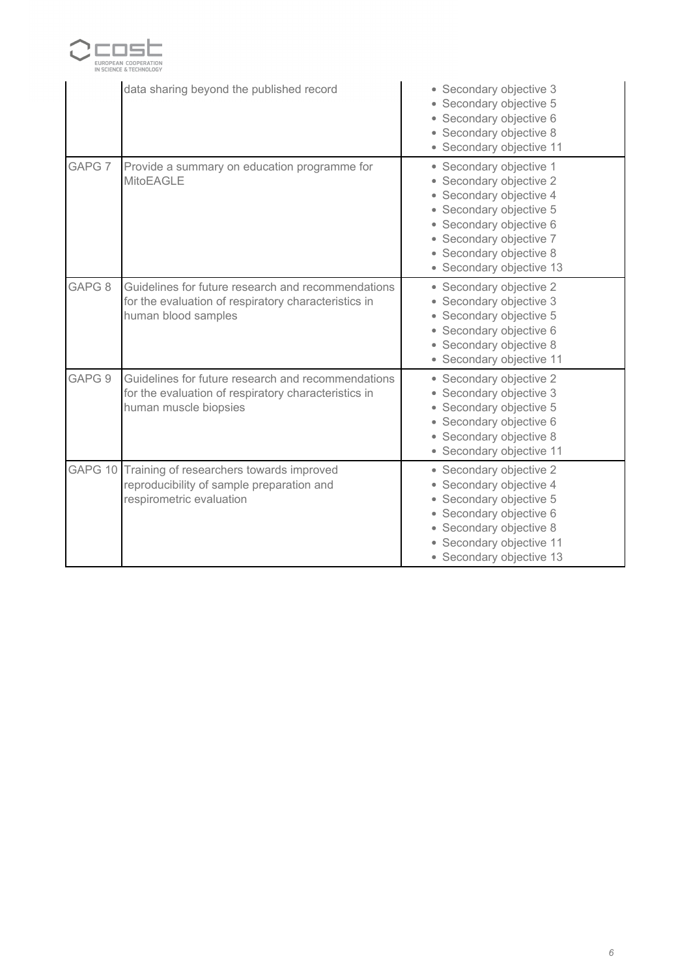

|                   | data sharing beyond the published record                                                                                            | • Secondary objective 3<br>• Secondary objective 5<br>• Secondary objective 6<br>• Secondary objective 8<br>• Secondary objective 11                                                                                  |
|-------------------|-------------------------------------------------------------------------------------------------------------------------------------|-----------------------------------------------------------------------------------------------------------------------------------------------------------------------------------------------------------------------|
| GAPG <sub>7</sub> | Provide a summary on education programme for<br><b>MitoEAGLE</b>                                                                    | • Secondary objective 1<br>• Secondary objective 2<br>• Secondary objective 4<br>• Secondary objective 5<br>• Secondary objective 6<br>• Secondary objective 7<br>• Secondary objective 8<br>• Secondary objective 13 |
| GAPG <sub>8</sub> | Guidelines for future research and recommendations<br>for the evaluation of respiratory characteristics in<br>human blood samples   | • Secondary objective 2<br>• Secondary objective 3<br>• Secondary objective 5<br>• Secondary objective 6<br>• Secondary objective 8<br>• Secondary objective 11                                                       |
| GAPG 9            | Guidelines for future research and recommendations<br>for the evaluation of respiratory characteristics in<br>human muscle biopsies | • Secondary objective 2<br>• Secondary objective 3<br>• Secondary objective 5<br>• Secondary objective 6<br>• Secondary objective 8<br>• Secondary objective 11                                                       |
| GAPG 10           | Training of researchers towards improved<br>reproducibility of sample preparation and<br>respirometric evaluation                   | • Secondary objective 2<br>• Secondary objective 4<br>• Secondary objective 5<br>• Secondary objective 6<br>• Secondary objective 8<br>• Secondary objective 11<br>• Secondary objective 13                           |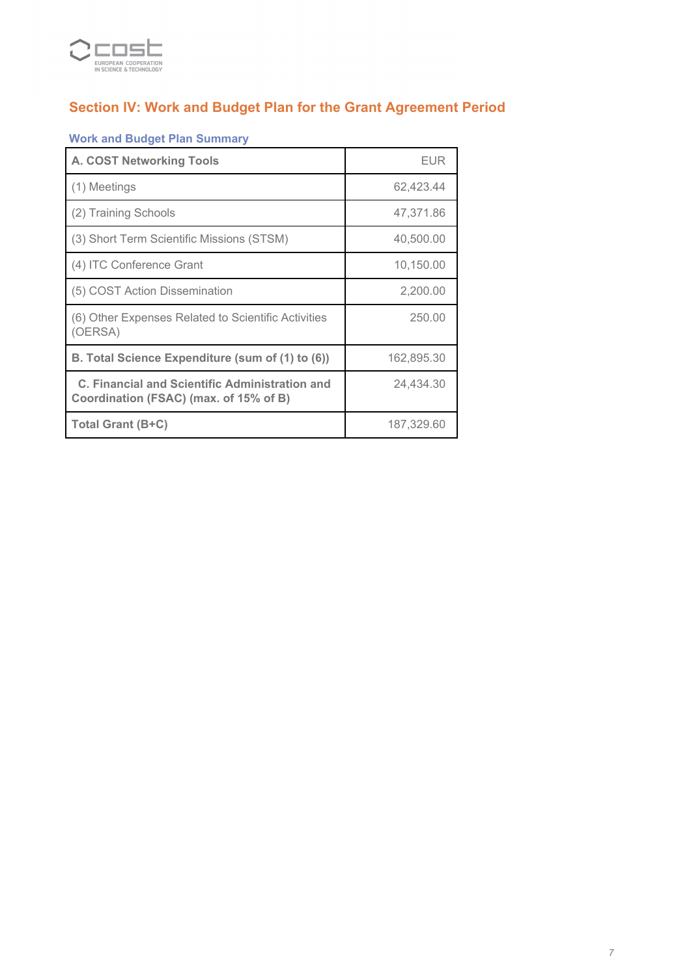

# *Section IV: Work and Budget Plan for the Grant Agreement Period*

# *Work and Budget Plan Summary*

| <b>A. COST Networking Tools</b>                                                          | <b>EUR</b> |
|------------------------------------------------------------------------------------------|------------|
| (1) Meetings                                                                             | 62,423.44  |
| (2) Training Schools                                                                     | 47,371.86  |
| (3) Short Term Scientific Missions (STSM)                                                | 40,500.00  |
| (4) ITC Conference Grant                                                                 | 10,150.00  |
| (5) COST Action Dissemination                                                            | 2,200.00   |
| (6) Other Expenses Related to Scientific Activities<br>(OERSA)                           | 250.00     |
| B. Total Science Expenditure (sum of (1) to (6))                                         | 162,895.30 |
| C. Financial and Scientific Administration and<br>Coordination (FSAC) (max. of 15% of B) | 24,434.30  |
| Total Grant (B+C)                                                                        | 187,329.60 |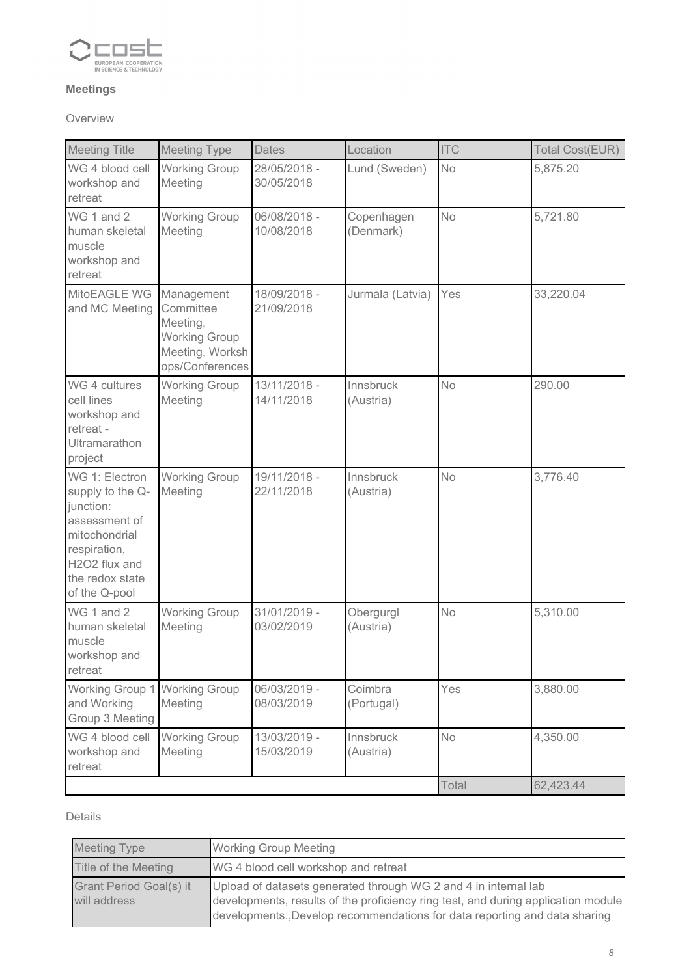

### *Meetings*

### *Overview*

| <b>Meeting Title</b>                                                                                                                                   | <b>Meeting Type</b>                                                                               | Dates                      | Location                | <b>ITC</b> | Total Cost(EUR) |
|--------------------------------------------------------------------------------------------------------------------------------------------------------|---------------------------------------------------------------------------------------------------|----------------------------|-------------------------|------------|-----------------|
| WG 4 blood cell<br>workshop and<br>retreat                                                                                                             | <b>Working Group</b><br>Meeting                                                                   | 28/05/2018 -<br>30/05/2018 | Lund (Sweden)           | No         | 5,875.20        |
| WG 1 and 2<br>human skeletal<br>muscle<br>workshop and<br>retreat                                                                                      | <b>Working Group</b><br>Meeting                                                                   | 06/08/2018 -<br>10/08/2018 | Copenhagen<br>(Denmark) | <b>No</b>  | 5,721.80        |
| MitoEAGLE WG<br>and MC Meeting                                                                                                                         | Management<br>Committee<br>Meeting,<br><b>Working Group</b><br>Meeting, Worksh<br>ops/Conferences | 18/09/2018 -<br>21/09/2018 | Jurmala (Latvia)        | Yes        | 33,220.04       |
| WG 4 cultures<br>cell lines<br>workshop and<br>retreat -<br><b>Ultramarathon</b><br>project                                                            | <b>Working Group</b><br>Meeting                                                                   | 13/11/2018 -<br>14/11/2018 | Innsbruck<br>(Austria)  | <b>No</b>  | 290.00          |
| WG 1: Electron<br>supply to the Q-<br>junction:<br>assessment of<br>mitochondrial<br>respiration,<br>H2O2 flux and<br>the redox state<br>of the Q-pool | <b>Working Group</b><br>Meeting                                                                   | 19/11/2018 -<br>22/11/2018 | Innsbruck<br>(Austria)  | No         | 3,776.40        |
| WG 1 and 2<br>human skeletal<br>muscle<br>workshop and<br>retreat                                                                                      | <b>Working Group</b><br>Meeting                                                                   | 31/01/2019 -<br>03/02/2019 | Obergurgl<br>(Austria)  | <b>No</b>  | 5,310.00        |
| Working Group 1<br>and Working<br>Group 3 Meeting                                                                                                      | <b>Working Group</b><br>Meeting                                                                   | 06/03/2019 -<br>08/03/2019 | Coimbra<br>(Portugal)   | Yes        | 3,880.00        |
| WG 4 blood cell<br>workshop and<br>retreat                                                                                                             | <b>Working Group</b><br>Meeting                                                                   | 13/03/2019 -<br>15/03/2019 | Innsbruck<br>(Austria)  | No         | 4,350.00        |
|                                                                                                                                                        |                                                                                                   |                            |                         | Total      | 62,423.44       |

### *Details*

| <b>Meeting Type</b>                     | <b>Working Group Meeting</b>                                                                                                                                                                                                       |
|-----------------------------------------|------------------------------------------------------------------------------------------------------------------------------------------------------------------------------------------------------------------------------------|
| Title of the Meeting                    | WG 4 blood cell workshop and retreat                                                                                                                                                                                               |
| Grant Period Goal(s) it<br>will address | Upload of datasets generated through WG 2 and 4 in internal lab<br>developments, results of the proficiency ring test, and during application module<br>developments., Develop recommendations for data reporting and data sharing |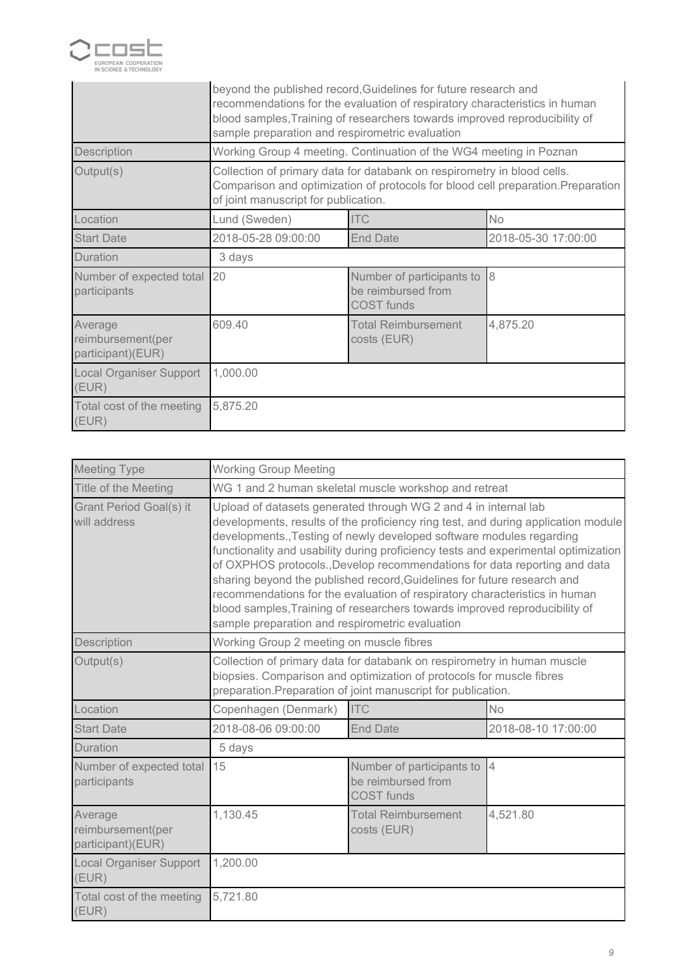

|                                                   | beyond the published record, Guidelines for future research and<br>recommendations for the evaluation of respiratory characteristics in human<br>blood samples, Training of researchers towards improved reproducibility of<br>sample preparation and respirometric evaluation |                                                                      |                          |
|---------------------------------------------------|--------------------------------------------------------------------------------------------------------------------------------------------------------------------------------------------------------------------------------------------------------------------------------|----------------------------------------------------------------------|--------------------------|
| Description                                       |                                                                                                                                                                                                                                                                                | Working Group 4 meeting. Continuation of the WG4 meeting in Poznan   |                          |
| Output(s)                                         | Collection of primary data for databank on respirometry in blood cells.<br>Comparison and optimization of protocols for blood cell preparation. Preparation<br>of joint manuscript for publication.                                                                            |                                                                      |                          |
| Location                                          | Lund (Sweden)                                                                                                                                                                                                                                                                  | <b>ITC</b>                                                           | <b>No</b>                |
| <b>Start Date</b>                                 | 2018-05-28 09:00:00                                                                                                                                                                                                                                                            | <b>End Date</b>                                                      | 2018-05-30 17:00:00      |
| Duration                                          | 3 days                                                                                                                                                                                                                                                                         |                                                                      |                          |
| Number of expected total<br>participants          | 20                                                                                                                                                                                                                                                                             | Number of participants to<br>be reimbursed from<br><b>COST</b> funds | $\overline{\mathcal{8}}$ |
| Average<br>reimbursement(per<br>participant)(EUR) | 609.40                                                                                                                                                                                                                                                                         | <b>Total Reimbursement</b><br>costs (EUR)                            | 4,875.20                 |
| Local Organiser Support<br>(EUR)                  | 1,000.00                                                                                                                                                                                                                                                                       |                                                                      |                          |
| Total cost of the meeting<br>(EUR)                | 5,875.20                                                                                                                                                                                                                                                                       |                                                                      |                          |

| <b>Meeting Type</b>                               | <b>Working Group Meeting</b>                                                                                                                                                                                                                                                                                                                                                                                                                                                                                                                                                                                                                                                              |                                                                      |                     |  |
|---------------------------------------------------|-------------------------------------------------------------------------------------------------------------------------------------------------------------------------------------------------------------------------------------------------------------------------------------------------------------------------------------------------------------------------------------------------------------------------------------------------------------------------------------------------------------------------------------------------------------------------------------------------------------------------------------------------------------------------------------------|----------------------------------------------------------------------|---------------------|--|
| Title of the Meeting                              | WG 1 and 2 human skeletal muscle workshop and retreat                                                                                                                                                                                                                                                                                                                                                                                                                                                                                                                                                                                                                                     |                                                                      |                     |  |
| Grant Period Goal(s) it<br>will address           | Upload of datasets generated through WG 2 and 4 in internal lab<br>developments, results of the proficiency ring test, and during application module<br>developments., Testing of newly developed software modules regarding<br>functionality and usability during proficiency tests and experimental optimization<br>of OXPHOS protocols., Develop recommendations for data reporting and data<br>sharing beyond the published record, Guidelines for future research and<br>recommendations for the evaluation of respiratory characteristics in human<br>blood samples, Training of researchers towards improved reproducibility of<br>sample preparation and respirometric evaluation |                                                                      |                     |  |
| Description                                       | Working Group 2 meeting on muscle fibres                                                                                                                                                                                                                                                                                                                                                                                                                                                                                                                                                                                                                                                  |                                                                      |                     |  |
| Output(s)                                         | Collection of primary data for databank on respirometry in human muscle<br>biopsies. Comparison and optimization of protocols for muscle fibres<br>preparation. Preparation of joint manuscript for publication.                                                                                                                                                                                                                                                                                                                                                                                                                                                                          |                                                                      |                     |  |
| Location                                          | Copenhagen (Denmark)                                                                                                                                                                                                                                                                                                                                                                                                                                                                                                                                                                                                                                                                      | <b>ITC</b>                                                           | <b>No</b>           |  |
| <b>Start Date</b>                                 | 2018-08-06 09:00:00                                                                                                                                                                                                                                                                                                                                                                                                                                                                                                                                                                                                                                                                       | <b>End Date</b>                                                      | 2018-08-10 17:00:00 |  |
| <b>Duration</b>                                   | 5 days                                                                                                                                                                                                                                                                                                                                                                                                                                                                                                                                                                                                                                                                                    |                                                                      |                     |  |
| Number of expected total<br>participants          | 15                                                                                                                                                                                                                                                                                                                                                                                                                                                                                                                                                                                                                                                                                        | Number of participants to<br>be reimbursed from<br><b>COST</b> funds | $\overline{4}$      |  |
| Average<br>reimbursement(per<br>participant)(EUR) | 1,130.45                                                                                                                                                                                                                                                                                                                                                                                                                                                                                                                                                                                                                                                                                  | <b>Total Reimbursement</b><br>costs (EUR)                            | 4,521.80            |  |
| <b>Local Organiser Support</b><br>(EUR)           | 1,200.00                                                                                                                                                                                                                                                                                                                                                                                                                                                                                                                                                                                                                                                                                  |                                                                      |                     |  |
| Total cost of the meeting<br>(EUR)                | 5,721.80                                                                                                                                                                                                                                                                                                                                                                                                                                                                                                                                                                                                                                                                                  |                                                                      |                     |  |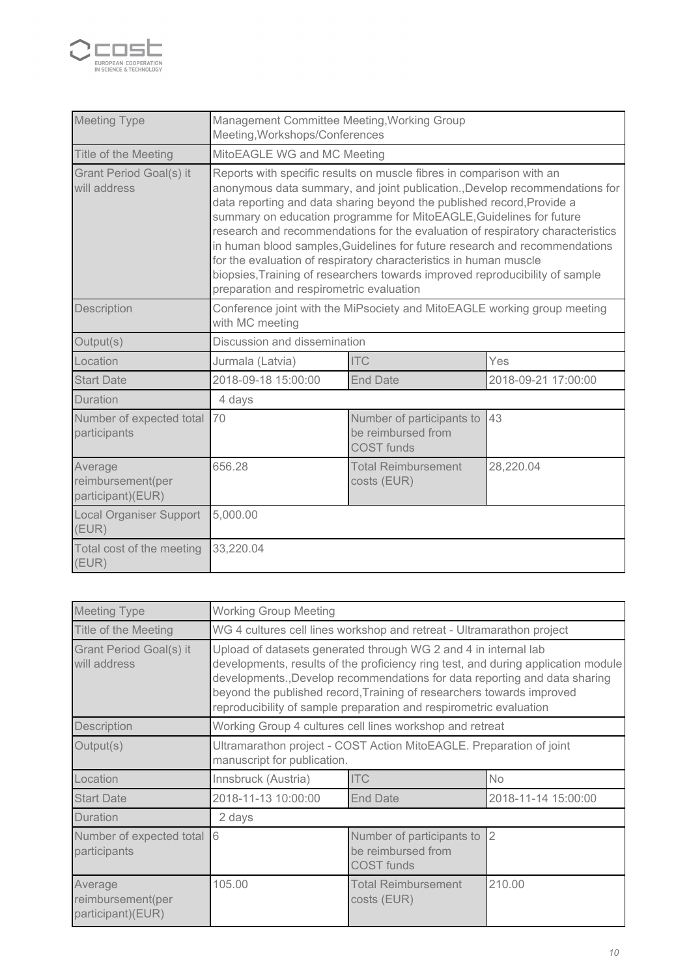

| <b>Meeting Type</b>                               | Management Committee Meeting, Working Group<br>Meeting, Workshops/Conferences                                                                                                                                                                                                                                                                                                                                                                                                                                                                                                                                                                                         |                                                                      |                     |  |
|---------------------------------------------------|-----------------------------------------------------------------------------------------------------------------------------------------------------------------------------------------------------------------------------------------------------------------------------------------------------------------------------------------------------------------------------------------------------------------------------------------------------------------------------------------------------------------------------------------------------------------------------------------------------------------------------------------------------------------------|----------------------------------------------------------------------|---------------------|--|
| Title of the Meeting                              | MitoEAGLE WG and MC Meeting                                                                                                                                                                                                                                                                                                                                                                                                                                                                                                                                                                                                                                           |                                                                      |                     |  |
| <b>Grant Period Goal(s) it</b><br>will address    | Reports with specific results on muscle fibres in comparison with an<br>anonymous data summary, and joint publication., Develop recommendations for<br>data reporting and data sharing beyond the published record, Provide a<br>summary on education programme for MitoEAGLE, Guidelines for future<br>research and recommendations for the evaluation of respiratory characteristics<br>in human blood samples, Guidelines for future research and recommendations<br>for the evaluation of respiratory characteristics in human muscle<br>biopsies, Training of researchers towards improved reproducibility of sample<br>preparation and respirometric evaluation |                                                                      |                     |  |
| Description                                       | Conference joint with the MiPsociety and MitoEAGLE working group meeting<br>with MC meeting                                                                                                                                                                                                                                                                                                                                                                                                                                                                                                                                                                           |                                                                      |                     |  |
| Output(s)                                         | Discussion and dissemination                                                                                                                                                                                                                                                                                                                                                                                                                                                                                                                                                                                                                                          |                                                                      |                     |  |
| Location                                          | Jurmala (Latvia)                                                                                                                                                                                                                                                                                                                                                                                                                                                                                                                                                                                                                                                      | <b>ITC</b>                                                           | Yes                 |  |
| <b>Start Date</b>                                 | 2018-09-18 15:00:00                                                                                                                                                                                                                                                                                                                                                                                                                                                                                                                                                                                                                                                   | <b>End Date</b>                                                      | 2018-09-21 17:00:00 |  |
| <b>Duration</b>                                   | 4 days                                                                                                                                                                                                                                                                                                                                                                                                                                                                                                                                                                                                                                                                |                                                                      |                     |  |
| Number of expected total<br>participants          | 70                                                                                                                                                                                                                                                                                                                                                                                                                                                                                                                                                                                                                                                                    | Number of participants to<br>be reimbursed from<br><b>COST</b> funds | 43                  |  |
| Average<br>reimbursement(per<br>participant)(EUR) | 656.28<br><b>Total Reimbursement</b><br>28,220.04<br>costs (EUR)                                                                                                                                                                                                                                                                                                                                                                                                                                                                                                                                                                                                      |                                                                      |                     |  |
| <b>Local Organiser Support</b><br>(EUR)           | 5,000.00                                                                                                                                                                                                                                                                                                                                                                                                                                                                                                                                                                                                                                                              |                                                                      |                     |  |
| Total cost of the meeting<br>(EUR)                | 33,220.04                                                                                                                                                                                                                                                                                                                                                                                                                                                                                                                                                                                                                                                             |                                                                      |                     |  |

| <b>Meeting Type</b>                               | <b>Working Group Meeting</b>                                                                                                                                                                                                                                                                                                                                                      |                                                                       |                     |  |  |
|---------------------------------------------------|-----------------------------------------------------------------------------------------------------------------------------------------------------------------------------------------------------------------------------------------------------------------------------------------------------------------------------------------------------------------------------------|-----------------------------------------------------------------------|---------------------|--|--|
| Title of the Meeting                              |                                                                                                                                                                                                                                                                                                                                                                                   | WG 4 cultures cell lines workshop and retreat - Ultramarathon project |                     |  |  |
| Grant Period Goal(s) it<br>will address           | Upload of datasets generated through WG 2 and 4 in internal lab<br>developments, results of the proficiency ring test, and during application module<br>developments., Develop recommendations for data reporting and data sharing<br>beyond the published record, Training of researchers towards improved<br>reproducibility of sample preparation and respirometric evaluation |                                                                       |                     |  |  |
| Description                                       | Working Group 4 cultures cell lines workshop and retreat                                                                                                                                                                                                                                                                                                                          |                                                                       |                     |  |  |
| Output(s)                                         | Ultramarathon project - COST Action MitoEAGLE. Preparation of joint<br>manuscript for publication.                                                                                                                                                                                                                                                                                |                                                                       |                     |  |  |
| Location                                          | Innsbruck (Austria)                                                                                                                                                                                                                                                                                                                                                               | <b>ITC</b>                                                            | No                  |  |  |
| <b>Start Date</b>                                 | 2018-11-13 10:00:00                                                                                                                                                                                                                                                                                                                                                               | <b>End Date</b>                                                       | 2018-11-14 15:00:00 |  |  |
| Duration                                          | 2 days                                                                                                                                                                                                                                                                                                                                                                            |                                                                       |                     |  |  |
| Number of expected total<br>participants          | 6<br>$\overline{2}$<br>Number of participants to<br>be reimbursed from<br>COST funds                                                                                                                                                                                                                                                                                              |                                                                       |                     |  |  |
| Average<br>reimbursement(per<br>participant)(EUR) | 105.00                                                                                                                                                                                                                                                                                                                                                                            | <b>Total Reimbursement</b><br>costs (EUR)                             | 210.00              |  |  |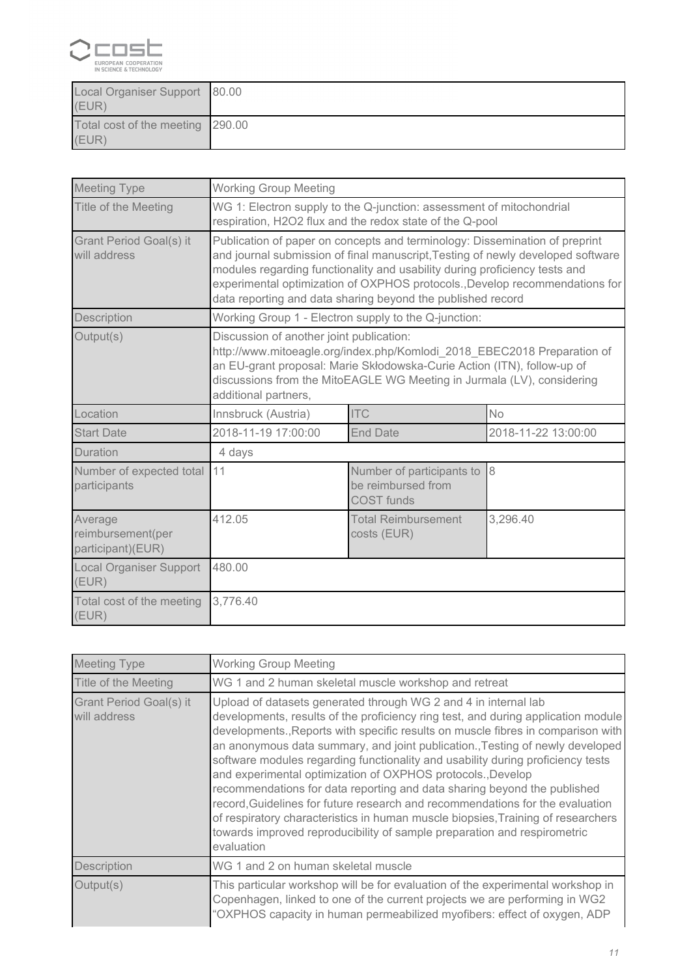

| Local Organiser Support 80.00<br>(EUR)    |  |
|-------------------------------------------|--|
| Total cost of the meeting 290.00<br>(EUR) |  |

| <b>Meeting Type</b>                               | <b>Working Group Meeting</b>                                                                                                                                                                                                                                                                                                                                                               |                                                      |                     |  |
|---------------------------------------------------|--------------------------------------------------------------------------------------------------------------------------------------------------------------------------------------------------------------------------------------------------------------------------------------------------------------------------------------------------------------------------------------------|------------------------------------------------------|---------------------|--|
| Title of the Meeting                              | WG 1: Electron supply to the Q-junction: assessment of mitochondrial<br>respiration, H2O2 flux and the redox state of the Q-pool                                                                                                                                                                                                                                                           |                                                      |                     |  |
| Grant Period Goal(s) it<br>will address           | Publication of paper on concepts and terminology: Dissemination of preprint<br>and journal submission of final manuscript, Testing of newly developed software<br>modules regarding functionality and usability during proficiency tests and<br>experimental optimization of OXPHOS protocols., Develop recommendations for<br>data reporting and data sharing beyond the published record |                                                      |                     |  |
| Description                                       |                                                                                                                                                                                                                                                                                                                                                                                            | Working Group 1 - Electron supply to the Q-junction: |                     |  |
| Output(s)                                         | Discussion of another joint publication:<br>http://www.mitoeagle.org/index.php/Komlodi_2018_EBEC2018 Preparation of<br>an EU-grant proposal: Marie Skłodowska-Curie Action (ITN), follow-up of<br>discussions from the MitoEAGLE WG Meeting in Jurmala (LV), considering<br>additional partners,                                                                                           |                                                      |                     |  |
| Location                                          | Innsbruck (Austria)                                                                                                                                                                                                                                                                                                                                                                        | <b>ITC</b>                                           | <b>No</b>           |  |
| <b>Start Date</b>                                 | 2018-11-19 17:00:00                                                                                                                                                                                                                                                                                                                                                                        | <b>End Date</b>                                      | 2018-11-22 13:00:00 |  |
| Duration                                          | 4 days                                                                                                                                                                                                                                                                                                                                                                                     |                                                      |                     |  |
| Number of expected total<br>participants          | 8<br>11<br>Number of participants to<br>be reimbursed from<br><b>COST</b> funds                                                                                                                                                                                                                                                                                                            |                                                      |                     |  |
| Average<br>reimbursement(per<br>participant)(EUR) | 412.05                                                                                                                                                                                                                                                                                                                                                                                     | <b>Total Reimbursement</b><br>costs (EUR)            | 3,296.40            |  |
| <b>Local Organiser Support</b><br>(EUR)           | 480.00                                                                                                                                                                                                                                                                                                                                                                                     |                                                      |                     |  |
| Total cost of the meeting<br>(EUR)                | 3,776.40                                                                                                                                                                                                                                                                                                                                                                                   |                                                      |                     |  |

| <b>Meeting Type</b>                     | <b>Working Group Meeting</b>                                                                                                                                                                                                                                                                                                                                                                                                                                                                                                                                                                                                                                                                                                                                                                                           |  |  |
|-----------------------------------------|------------------------------------------------------------------------------------------------------------------------------------------------------------------------------------------------------------------------------------------------------------------------------------------------------------------------------------------------------------------------------------------------------------------------------------------------------------------------------------------------------------------------------------------------------------------------------------------------------------------------------------------------------------------------------------------------------------------------------------------------------------------------------------------------------------------------|--|--|
| Title of the Meeting                    | WG 1 and 2 human skeletal muscle workshop and retreat                                                                                                                                                                                                                                                                                                                                                                                                                                                                                                                                                                                                                                                                                                                                                                  |  |  |
| Grant Period Goal(s) it<br>will address | Upload of datasets generated through WG 2 and 4 in internal lab<br>developments, results of the proficiency ring test, and during application module<br>developments., Reports with specific results on muscle fibres in comparison with<br>an anonymous data summary, and joint publication., Testing of newly developed<br>software modules regarding functionality and usability during proficiency tests<br>and experimental optimization of OXPHOS protocols., Develop<br>recommendations for data reporting and data sharing beyond the published<br>record, Guidelines for future research and recommendations for the evaluation<br>of respiratory characteristics in human muscle biopsies, Training of researchers<br>towards improved reproducibility of sample preparation and respirometric<br>evaluation |  |  |
| Description                             | WG 1 and 2 on human skeletal muscle                                                                                                                                                                                                                                                                                                                                                                                                                                                                                                                                                                                                                                                                                                                                                                                    |  |  |
| Output(s)                               | This particular workshop will be for evaluation of the experimental workshop in<br>Copenhagen, linked to one of the current projects we are performing in WG2<br>"OXPHOS capacity in human permeabilized myofibers: effect of oxygen, ADP                                                                                                                                                                                                                                                                                                                                                                                                                                                                                                                                                                              |  |  |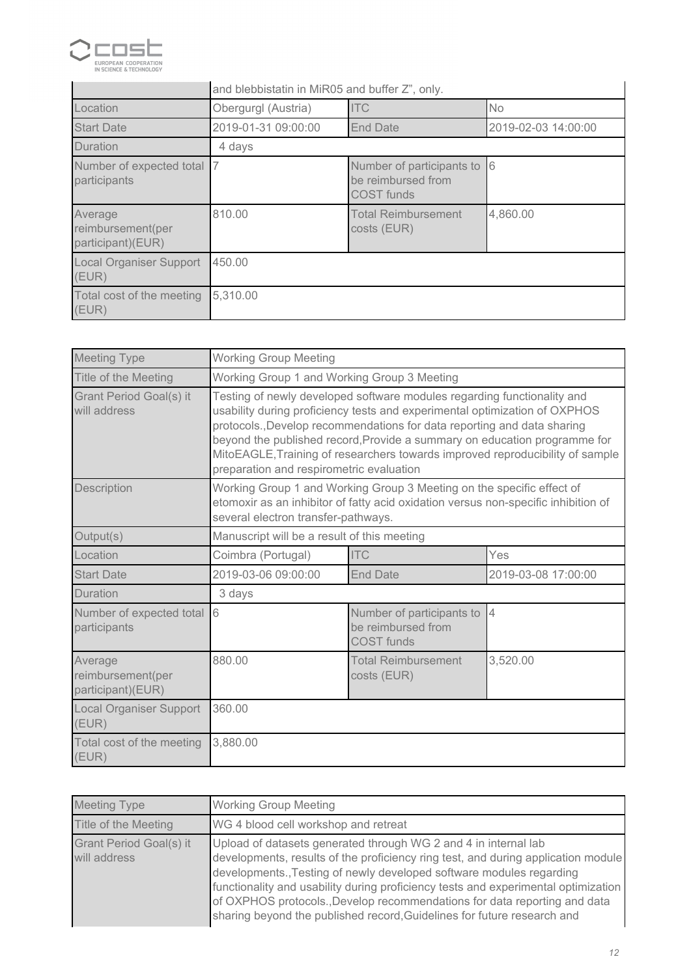

|                                                   | and blebbistatin in MiR05 and buffer Z", only.                             |                                           |                     |  |
|---------------------------------------------------|----------------------------------------------------------------------------|-------------------------------------------|---------------------|--|
| Location                                          | Obergurgl (Austria)                                                        | <b>ITC</b>                                | <b>No</b>           |  |
| <b>Start Date</b>                                 | 2019-01-31 09:00:00                                                        | <b>End Date</b>                           | 2019-02-03 14:00:00 |  |
| Duration                                          | 4 days                                                                     |                                           |                     |  |
| Number of expected total<br>participants          | 16<br>Number of participants to<br>be reimbursed from<br><b>COST</b> funds |                                           |                     |  |
| Average<br>reimbursement(per<br>participant)(EUR) | 810.00                                                                     | <b>Total Reimbursement</b><br>costs (EUR) | 4,860.00            |  |
| <b>Local Organiser Support</b><br>(EUR)           | 450.00                                                                     |                                           |                     |  |
| Total cost of the meeting<br>(EUR)                | 5,310.00                                                                   |                                           |                     |  |

| <b>Meeting Type</b>                               | <b>Working Group Meeting</b>                                                                                                                                                                                                                                                                                                                                                                                                               |                                                                      |                     |
|---------------------------------------------------|--------------------------------------------------------------------------------------------------------------------------------------------------------------------------------------------------------------------------------------------------------------------------------------------------------------------------------------------------------------------------------------------------------------------------------------------|----------------------------------------------------------------------|---------------------|
| Title of the Meeting                              | Working Group 1 and Working Group 3 Meeting                                                                                                                                                                                                                                                                                                                                                                                                |                                                                      |                     |
| Grant Period Goal(s) it<br>will address           | Testing of newly developed software modules regarding functionality and<br>usability during proficiency tests and experimental optimization of OXPHOS<br>protocols., Develop recommendations for data reporting and data sharing<br>beyond the published record, Provide a summary on education programme for<br>MitoEAGLE, Training of researchers towards improved reproducibility of sample<br>preparation and respirometric evaluation |                                                                      |                     |
| Description                                       | Working Group 1 and Working Group 3 Meeting on the specific effect of<br>etomoxir as an inhibitor of fatty acid oxidation versus non-specific inhibition of<br>several electron transfer-pathways.                                                                                                                                                                                                                                         |                                                                      |                     |
| Output(s)                                         | Manuscript will be a result of this meeting                                                                                                                                                                                                                                                                                                                                                                                                |                                                                      |                     |
| Location                                          | Coimbra (Portugal)                                                                                                                                                                                                                                                                                                                                                                                                                         | <b>ITC</b>                                                           | Yes                 |
| <b>Start Date</b>                                 | 2019-03-06 09:00:00                                                                                                                                                                                                                                                                                                                                                                                                                        | <b>End Date</b>                                                      | 2019-03-08 17:00:00 |
| Duration                                          | 3 days                                                                                                                                                                                                                                                                                                                                                                                                                                     |                                                                      |                     |
| Number of expected total<br>participants          | 6                                                                                                                                                                                                                                                                                                                                                                                                                                          | Number of participants to<br>be reimbursed from<br><b>COST</b> funds | $\overline{4}$      |
| Average<br>reimbursement(per<br>participant)(EUR) | 880.00                                                                                                                                                                                                                                                                                                                                                                                                                                     | <b>Total Reimbursement</b><br>costs (EUR)                            | 3,520.00            |
| <b>Local Organiser Support</b><br>(EUR)           | 360.00                                                                                                                                                                                                                                                                                                                                                                                                                                     |                                                                      |                     |
| Total cost of the meeting<br>(EUR)                | 3,880.00                                                                                                                                                                                                                                                                                                                                                                                                                                   |                                                                      |                     |

| <b>Meeting Type</b>                            | <b>Working Group Meeting</b>                                                                                                                                                                                                                                                                                                                                                                                                                                               |
|------------------------------------------------|----------------------------------------------------------------------------------------------------------------------------------------------------------------------------------------------------------------------------------------------------------------------------------------------------------------------------------------------------------------------------------------------------------------------------------------------------------------------------|
| Title of the Meeting                           | WG 4 blood cell workshop and retreat                                                                                                                                                                                                                                                                                                                                                                                                                                       |
| <b>Grant Period Goal(s) it</b><br>will address | Upload of datasets generated through WG 2 and 4 in internal lab<br>developments, results of the proficiency ring test, and during application module<br>developments., Testing of newly developed software modules regarding<br>functionality and usability during proficiency tests and experimental optimization<br>of OXPHOS protocols., Develop recommendations for data reporting and data<br>sharing beyond the published record, Guidelines for future research and |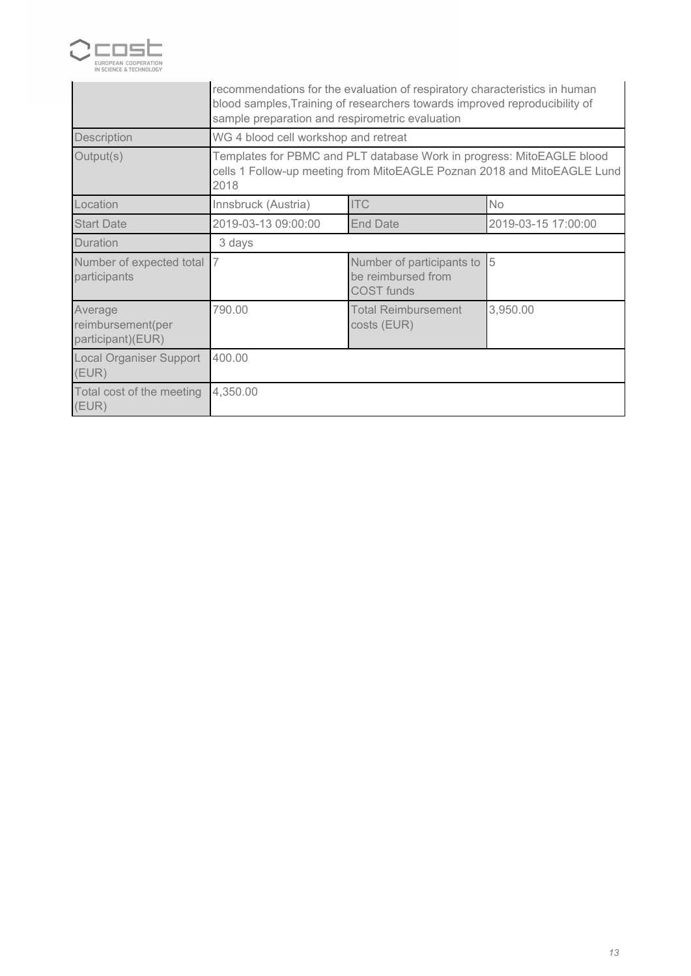

|                                                   | recommendations for the evaluation of respiratory characteristics in human<br>blood samples, Training of researchers towards improved reproducibility of<br>sample preparation and respirometric evaluation |  |  |  |
|---------------------------------------------------|-------------------------------------------------------------------------------------------------------------------------------------------------------------------------------------------------------------|--|--|--|
| Description                                       | WG 4 blood cell workshop and retreat                                                                                                                                                                        |  |  |  |
| Output(s)                                         | Templates for PBMC and PLT database Work in progress: MitoEAGLE blood<br>cells 1 Follow-up meeting from MitoEAGLE Poznan 2018 and MitoEAGLE Lund<br>2018                                                    |  |  |  |
| Location                                          | <b>ITC</b><br><b>No</b><br>Innsbruck (Austria)                                                                                                                                                              |  |  |  |
| <b>Start Date</b>                                 | 2019-03-13 09:00:00<br><b>End Date</b><br>2019-03-15 17:00:00                                                                                                                                               |  |  |  |
| Duration                                          | 3 days                                                                                                                                                                                                      |  |  |  |
| Number of expected total<br>participants          | 17<br>15<br>Number of participants to<br>be reimbursed from<br><b>COST</b> funds                                                                                                                            |  |  |  |
| Average<br>reimbursement(per<br>participant)(EUR) | 790.00<br>3,950.00<br><b>Total Reimbursement</b><br>costs (EUR)                                                                                                                                             |  |  |  |
| Local Organiser Support<br>(EUR)                  | 400.00                                                                                                                                                                                                      |  |  |  |
| Total cost of the meeting<br>(EUR)                | 4,350.00                                                                                                                                                                                                    |  |  |  |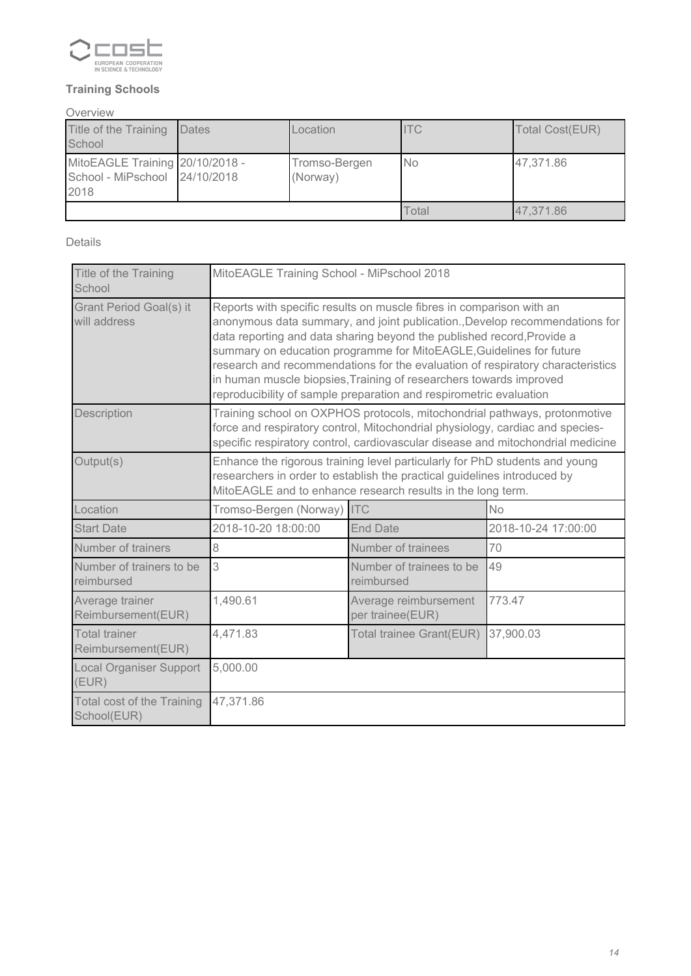

### *Training Schools*

### *Overview*

| Title of the Training<br>School                                          | <b>Dates</b> | Location                  | <b>ITC</b> | Total Cost(EUR) |
|--------------------------------------------------------------------------|--------------|---------------------------|------------|-----------------|
| MitoEAGLE Training 20/10/2018 -<br>School - MiPschool 24/10/2018<br>2018 |              | Tromso-Bergen<br>(Norway) | <b>No</b>  | 47,371.86       |
|                                                                          |              |                           | Total      | 47.371.86       |

*Details*

| Title of the Training<br>School                  | MitoEAGLE Training School - MiPschool 2018                                                                                                                                                                                                                                                                                                                                                                                                                                                                                         |                                        |                     |  |  |
|--------------------------------------------------|------------------------------------------------------------------------------------------------------------------------------------------------------------------------------------------------------------------------------------------------------------------------------------------------------------------------------------------------------------------------------------------------------------------------------------------------------------------------------------------------------------------------------------|----------------------------------------|---------------------|--|--|
| Grant Period Goal(s) it<br>will address          | Reports with specific results on muscle fibres in comparison with an<br>anonymous data summary, and joint publication., Develop recommendations for<br>data reporting and data sharing beyond the published record, Provide a<br>summary on education programme for MitoEAGLE, Guidelines for future<br>research and recommendations for the evaluation of respiratory characteristics<br>in human muscle biopsies, Training of researchers towards improved<br>reproducibility of sample preparation and respirometric evaluation |                                        |                     |  |  |
| Description                                      | Training school on OXPHOS protocols, mitochondrial pathways, protonmotive<br>force and respiratory control, Mitochondrial physiology, cardiac and species-<br>specific respiratory control, cardiovascular disease and mitochondrial medicine                                                                                                                                                                                                                                                                                      |                                        |                     |  |  |
| Output(s)                                        | Enhance the rigorous training level particularly for PhD students and young<br>researchers in order to establish the practical guidelines introduced by<br>MitoEAGLE and to enhance research results in the long term.                                                                                                                                                                                                                                                                                                             |                                        |                     |  |  |
| Location                                         | Tromso-Bergen (Norway) ITC                                                                                                                                                                                                                                                                                                                                                                                                                                                                                                         |                                        | <b>No</b>           |  |  |
| <b>Start Date</b>                                | 2018-10-20 18:00:00                                                                                                                                                                                                                                                                                                                                                                                                                                                                                                                | <b>End Date</b>                        | 2018-10-24 17:00:00 |  |  |
| Number of trainers                               | 8                                                                                                                                                                                                                                                                                                                                                                                                                                                                                                                                  | Number of trainees                     | 70                  |  |  |
| Number of trainers to be<br>reimbursed           | 3                                                                                                                                                                                                                                                                                                                                                                                                                                                                                                                                  | Number of trainees to be<br>reimbursed | 49                  |  |  |
| Average trainer<br>Reimbursement(EUR)            | 1,490.61<br>773.47<br>Average reimbursement<br>per trainee(EUR)                                                                                                                                                                                                                                                                                                                                                                                                                                                                    |                                        |                     |  |  |
| <b>Total trainer</b><br>Reimbursement(EUR)       | 4,471.83<br>37,900.03<br>Total trainee Grant(EUR)                                                                                                                                                                                                                                                                                                                                                                                                                                                                                  |                                        |                     |  |  |
| <b>Local Organiser Support</b><br>(EUR)          | 5,000.00                                                                                                                                                                                                                                                                                                                                                                                                                                                                                                                           |                                        |                     |  |  |
| <b>Total cost of the Training</b><br>School(EUR) | 47,371.86                                                                                                                                                                                                                                                                                                                                                                                                                                                                                                                          |                                        |                     |  |  |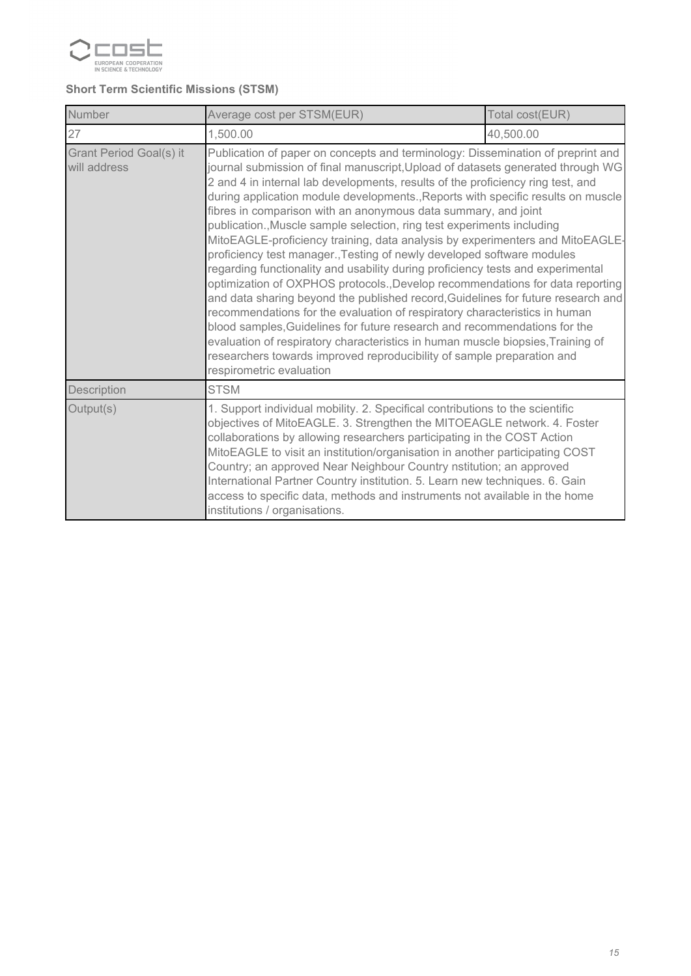

### *Short Term Scientific Missions (STSM)*

| Number                                  | Total cost(EUR)<br>Average cost per STSM(EUR)                                                                                                                                                                                                                                                                                                                                                                                                                                                                                                                                                                                                                                                                                                                                                                                                                                                                                                                                                                                                                                                                                                                                                                                                                |           |  |  |
|-----------------------------------------|--------------------------------------------------------------------------------------------------------------------------------------------------------------------------------------------------------------------------------------------------------------------------------------------------------------------------------------------------------------------------------------------------------------------------------------------------------------------------------------------------------------------------------------------------------------------------------------------------------------------------------------------------------------------------------------------------------------------------------------------------------------------------------------------------------------------------------------------------------------------------------------------------------------------------------------------------------------------------------------------------------------------------------------------------------------------------------------------------------------------------------------------------------------------------------------------------------------------------------------------------------------|-----------|--|--|
| 27                                      | 1,500.00                                                                                                                                                                                                                                                                                                                                                                                                                                                                                                                                                                                                                                                                                                                                                                                                                                                                                                                                                                                                                                                                                                                                                                                                                                                     | 40,500.00 |  |  |
| Grant Period Goal(s) it<br>will address | Publication of paper on concepts and terminology: Dissemination of preprint and<br>journal submission of final manuscript, Upload of datasets generated through WG<br>2 and 4 in internal lab developments, results of the proficiency ring test, and<br>during application module developments., Reports with specific results on muscle<br>fibres in comparison with an anonymous data summary, and joint<br>publication., Muscle sample selection, ring test experiments including<br>MitoEAGLE-proficiency training, data analysis by experimenters and MitoEAGLE-<br>proficiency test manager., Testing of newly developed software modules<br>regarding functionality and usability during proficiency tests and experimental<br>optimization of OXPHOS protocols., Develop recommendations for data reporting<br>and data sharing beyond the published record, Guidelines for future research and<br>recommendations for the evaluation of respiratory characteristics in human<br>blood samples, Guidelines for future research and recommendations for the<br>evaluation of respiratory characteristics in human muscle biopsies, Training of<br>researchers towards improved reproducibility of sample preparation and<br>respirometric evaluation |           |  |  |
| Description                             | <b>STSM</b>                                                                                                                                                                                                                                                                                                                                                                                                                                                                                                                                                                                                                                                                                                                                                                                                                                                                                                                                                                                                                                                                                                                                                                                                                                                  |           |  |  |
| Output(s)                               | 1. Support individual mobility. 2. Specifical contributions to the scientific<br>objectives of MitoEAGLE. 3. Strengthen the MITOEAGLE network. 4. Foster<br>collaborations by allowing researchers participating in the COST Action<br>MitoEAGLE to visit an institution/organisation in another participating COST<br>Country; an approved Near Neighbour Country nstitution; an approved<br>International Partner Country institution. 5. Learn new techniques. 6. Gain<br>access to specific data, methods and instruments not available in the home<br>institutions / organisations.                                                                                                                                                                                                                                                                                                                                                                                                                                                                                                                                                                                                                                                                     |           |  |  |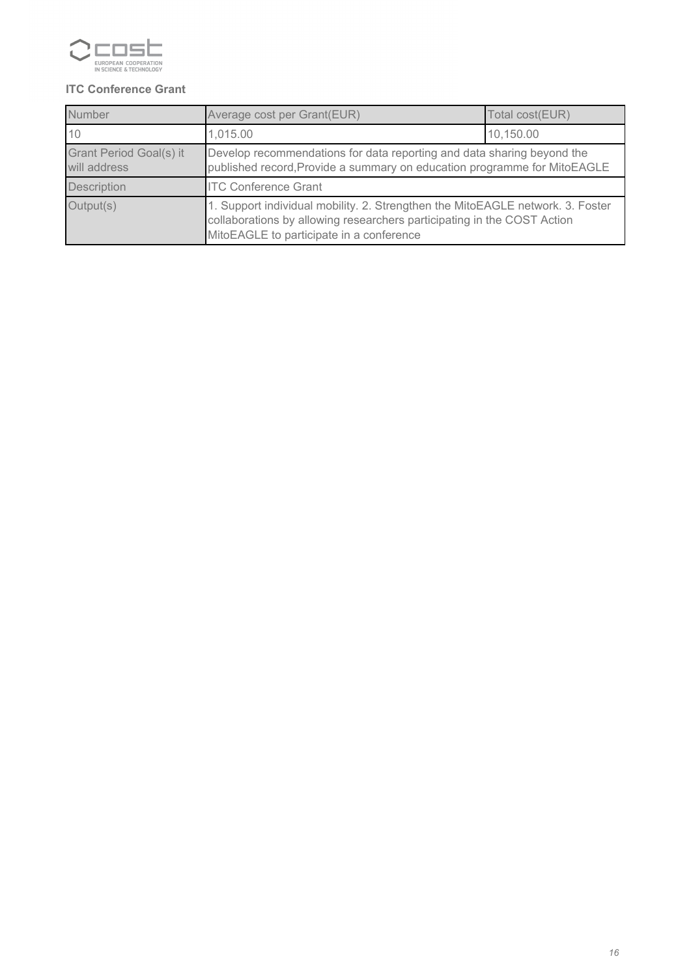

### *ITC Conference Grant*

| Number                                  | Average cost per Grant(EUR)<br>Total cost(EUR)                                                                                                                                                        |           |  |
|-----------------------------------------|-------------------------------------------------------------------------------------------------------------------------------------------------------------------------------------------------------|-----------|--|
| 10                                      | 1,015.00                                                                                                                                                                                              | 10,150.00 |  |
| Grant Period Goal(s) it<br>will address | Develop recommendations for data reporting and data sharing beyond the<br>published record, Provide a summary on education programme for MitoEAGLE                                                    |           |  |
| <b>Description</b>                      | <b>ITC Conference Grant</b>                                                                                                                                                                           |           |  |
| Output(s)                               | 1. Support individual mobility. 2. Strengthen the MitoEAGLE network. 3. Foster<br>collaborations by allowing researchers participating in the COST Action<br>MitoEAGLE to participate in a conference |           |  |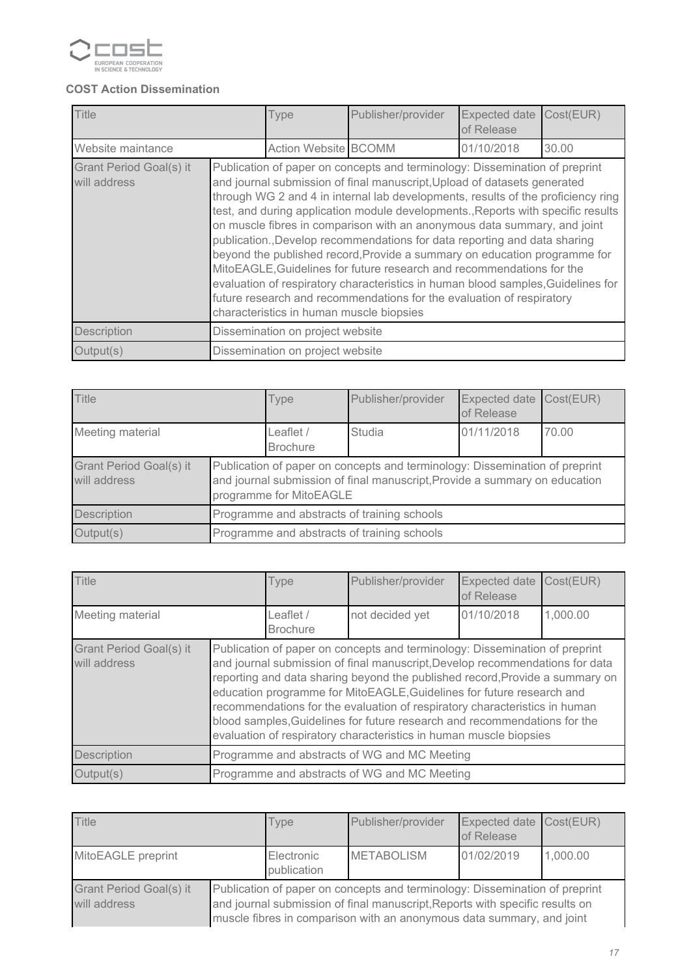

### *COST Action Dissemination*

| <b>Title</b>                            |                                                                                                                                                                                                                                                                                                                                                                                                                                                                                                                                                                                                                                                                                                                                                                                                                                                         | Type                        | Publisher/provider | <b>Expected date</b><br>of Release | Cost(EUR) |
|-----------------------------------------|---------------------------------------------------------------------------------------------------------------------------------------------------------------------------------------------------------------------------------------------------------------------------------------------------------------------------------------------------------------------------------------------------------------------------------------------------------------------------------------------------------------------------------------------------------------------------------------------------------------------------------------------------------------------------------------------------------------------------------------------------------------------------------------------------------------------------------------------------------|-----------------------------|--------------------|------------------------------------|-----------|
| Website maintance                       |                                                                                                                                                                                                                                                                                                                                                                                                                                                                                                                                                                                                                                                                                                                                                                                                                                                         | <b>Action Website BCOMM</b> |                    | 01/10/2018                         | 30.00     |
| Grant Period Goal(s) it<br>will address | Publication of paper on concepts and terminology: Dissemination of preprint<br>and journal submission of final manuscript, Upload of datasets generated<br>through WG 2 and 4 in internal lab developments, results of the proficiency ring<br>test, and during application module developments., Reports with specific results<br>on muscle fibres in comparison with an anonymous data summary, and joint<br>publication., Develop recommendations for data reporting and data sharing<br>beyond the published record, Provide a summary on education programme for<br>MitoEAGLE, Guidelines for future research and recommendations for the<br>evaluation of respiratory characteristics in human blood samples, Guidelines for<br>future research and recommendations for the evaluation of respiratory<br>characteristics in human muscle biopsies |                             |                    |                                    |           |
| Description                             | Dissemination on project website                                                                                                                                                                                                                                                                                                                                                                                                                                                                                                                                                                                                                                                                                                                                                                                                                        |                             |                    |                                    |           |
| Output(s)                               | Dissemination on project website                                                                                                                                                                                                                                                                                                                                                                                                                                                                                                                                                                                                                                                                                                                                                                                                                        |                             |                    |                                    |           |

| <b>Title</b>                            |                                                                                                                                                                                      | <b>Type</b>                  | Publisher/provider | Expected date<br>of Release | Cost(EUR) |
|-----------------------------------------|--------------------------------------------------------------------------------------------------------------------------------------------------------------------------------------|------------------------------|--------------------|-----------------------------|-----------|
| Meeting material                        |                                                                                                                                                                                      | Leaflet /<br><b>Brochure</b> | <b>Studia</b>      | 01/11/2018                  | 70.00     |
| Grant Period Goal(s) it<br>will address | Publication of paper on concepts and terminology: Dissemination of preprint<br>and journal submission of final manuscript, Provide a summary on education<br>programme for MitoEAGLE |                              |                    |                             |           |
| <b>Description</b>                      | Programme and abstracts of training schools                                                                                                                                          |                              |                    |                             |           |
| Output(s)                               | Programme and abstracts of training schools                                                                                                                                          |                              |                    |                             |           |

| <b>Title</b>                            |                                                                                                                                                                                                                                                                                                                                                                                                                                                                                                                                                       | <b>Type</b>                  | Publisher/provider | <b>Expected date</b><br>of Release | Cost(EUR) |
|-----------------------------------------|-------------------------------------------------------------------------------------------------------------------------------------------------------------------------------------------------------------------------------------------------------------------------------------------------------------------------------------------------------------------------------------------------------------------------------------------------------------------------------------------------------------------------------------------------------|------------------------------|--------------------|------------------------------------|-----------|
| Meeting material                        |                                                                                                                                                                                                                                                                                                                                                                                                                                                                                                                                                       | Leaflet /<br><b>Brochure</b> | not decided yet    | 01/10/2018                         | 1,000.00  |
| Grant Period Goal(s) it<br>will address | Publication of paper on concepts and terminology: Dissemination of preprint<br>and journal submission of final manuscript, Develop recommendations for data<br>reporting and data sharing beyond the published record, Provide a summary on<br>education programme for MitoEAGLE, Guidelines for future research and<br>recommendations for the evaluation of respiratory characteristics in human<br>blood samples, Guidelines for future research and recommendations for the<br>evaluation of respiratory characteristics in human muscle biopsies |                              |                    |                                    |           |
| Description                             | Programme and abstracts of WG and MC Meeting                                                                                                                                                                                                                                                                                                                                                                                                                                                                                                          |                              |                    |                                    |           |
| Output(s)                               | Programme and abstracts of WG and MC Meeting                                                                                                                                                                                                                                                                                                                                                                                                                                                                                                          |                              |                    |                                    |           |

| Title                                   |                                                                                                                                                                                                                                      | Type                      | Publisher/provider | Expected date Cost(EUR)<br>of Release |          |
|-----------------------------------------|--------------------------------------------------------------------------------------------------------------------------------------------------------------------------------------------------------------------------------------|---------------------------|--------------------|---------------------------------------|----------|
| MitoEAGLE preprint                      |                                                                                                                                                                                                                                      | Electronic<br>publication | <b>METABOLISM</b>  | 01/02/2019                            | 1,000.00 |
| Grant Period Goal(s) it<br>will address | Publication of paper on concepts and terminology: Dissemination of preprint<br>and journal submission of final manuscript, Reports with specific results on<br>muscle fibres in comparison with an anonymous data summary, and joint |                           |                    |                                       |          |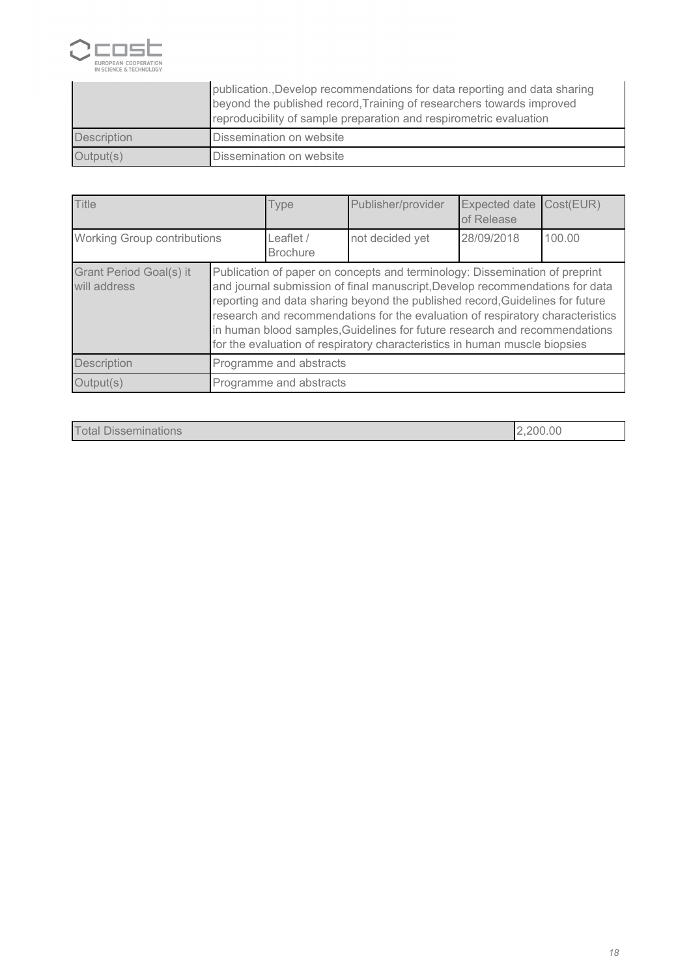

|                    | publication., Develop recommendations for data reporting and data sharing<br>beyond the published record, Training of researchers towards improved<br>reproducibility of sample preparation and respirometric evaluation |
|--------------------|--------------------------------------------------------------------------------------------------------------------------------------------------------------------------------------------------------------------------|
| <b>Description</b> | Dissemination on website                                                                                                                                                                                                 |
| Output(s)          | Dissemination on website                                                                                                                                                                                                 |

| <b>Title</b>                            |                                                                                                                                                                                                                                                                                                                                                                                                                                                                                            | Type                         | Publisher/provider | Expected date<br>of Release | Cost(EUR) |
|-----------------------------------------|--------------------------------------------------------------------------------------------------------------------------------------------------------------------------------------------------------------------------------------------------------------------------------------------------------------------------------------------------------------------------------------------------------------------------------------------------------------------------------------------|------------------------------|--------------------|-----------------------------|-----------|
| Working Group contributions             |                                                                                                                                                                                                                                                                                                                                                                                                                                                                                            | Leaflet /<br><b>Brochure</b> | not decided yet    | 28/09/2018                  | 100.00    |
| Grant Period Goal(s) it<br>will address | Publication of paper on concepts and terminology: Dissemination of preprint<br>and journal submission of final manuscript, Develop recommendations for data<br>reporting and data sharing beyond the published record, Guidelines for future<br>research and recommendations for the evaluation of respiratory characteristics<br>in human blood samples, Guidelines for future research and recommendations<br>for the evaluation of respiratory characteristics in human muscle biopsies |                              |                    |                             |           |
| Description                             | Programme and abstracts                                                                                                                                                                                                                                                                                                                                                                                                                                                                    |                              |                    |                             |           |
| Output(s)                               | Programme and abstracts                                                                                                                                                                                                                                                                                                                                                                                                                                                                    |                              |                    |                             |           |

 *Total Disseminations 2,200.00*